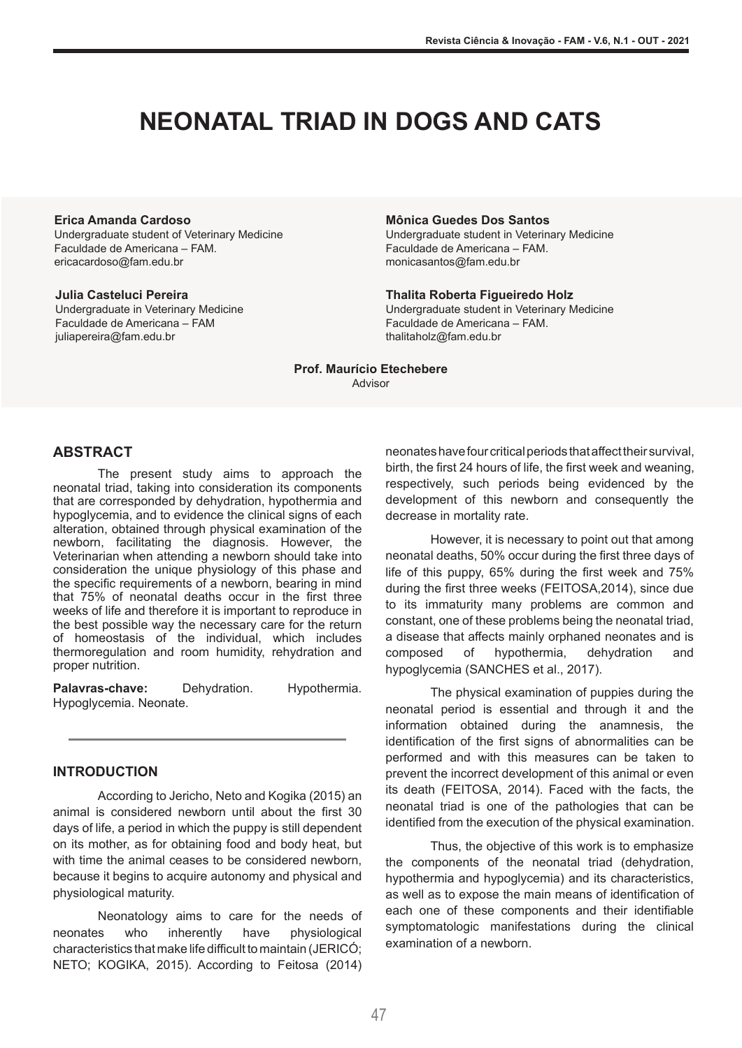# **NEONATAL TRIAD IN DOGS AND CATS**

#### **Erica Amanda Cardoso**

Undergraduate student of Veterinary Medicine Faculdade de Americana – FAM. ericacardoso@fam.edu.br

#### **Julia Casteluci Pereira**

Undergraduate in Veterinary Medicine Faculdade de Americana – FAM juliapereira@fam.edu.br

#### **Mônica Guedes Dos Santos**

Undergraduate student in Veterinary Medicine Faculdade de Americana – FAM. monicasantos@fam.edu.br

## **Thalita Roberta Figueiredo Holz**

Undergraduate student in Veterinary Medicine Faculdade de Americana – FAM. thalitaholz@fam.edu.br

**Prof. Maurício Etechebere** Advisor

### **ABSTRACT**

The present study aims to approach the neonatal triad, taking into consideration its components that are corresponded by dehydration, hypothermia and hypoglycemia, and to evidence the clinical signs of each alteration, obtained through physical examination of the newborn, facilitating the diagnosis. However, the Veterinarian when attending a newborn should take into consideration the unique physiology of this phase and the specific requirements of a newborn, bearing in mind that 75% of neonatal deaths occur in the first three weeks of life and therefore it is important to reproduce in the best possible way the necessary care for the return of homeostasis of the individual, which includes thermoregulation and room humidity, rehydration and proper nutrition.

**Palavras-chave:** Dehydration. Hypothermia. Hypoglycemia. Neonate.

#### **INTRODUCTION**

According to Jericho, Neto and Kogika (2015) an animal is considered newborn until about the first 30 days of life, a period in which the puppy is still dependent on its mother, as for obtaining food and body heat, but with time the animal ceases to be considered newborn, because it begins to acquire autonomy and physical and physiological maturity.

Neonatology aims to care for the needs of neonates who inherently have physiological characteristics that make life difficult to maintain (JERICÓ; NETO; KOGIKA, 2015). According to Feitosa (2014) neonates havefour critical periodsthat affecttheir survival, birth, the first 24 hours of life, the first week and weaning, respectively, such periods being evidenced by the development of this newborn and consequently the decrease in mortality rate.

However, it is necessary to point out that among neonatal deaths, 50% occur during the first three days of life of this puppy, 65% during the first week and 75% during the first three weeks (FEITOSA,2014), since due to its immaturity many problems are common and constant, one of these problems being the neonatal triad, a disease that affects mainly orphaned neonates and is composed of hypothermia, dehydration and hypoglycemia (SANCHES et al., 2017).

The physical examination of puppies during the neonatal period is essential and through it and the information obtained during the anamnesis, the identification of the first signs of abnormalities can be performed and with this measures can be taken to prevent the incorrect development of this animal or even its death (FEITOSA, 2014). Faced with the facts, the neonatal triad is one of the pathologies that can be identified from the execution of the physical examination.

Thus, the objective of this work is to emphasize the components of the neonatal triad (dehydration, hypothermia and hypoglycemia) and its characteristics, as well as to expose the main means of identification of each one of these components and their identifiable symptomatologic manifestations during the clinical examination of a newborn.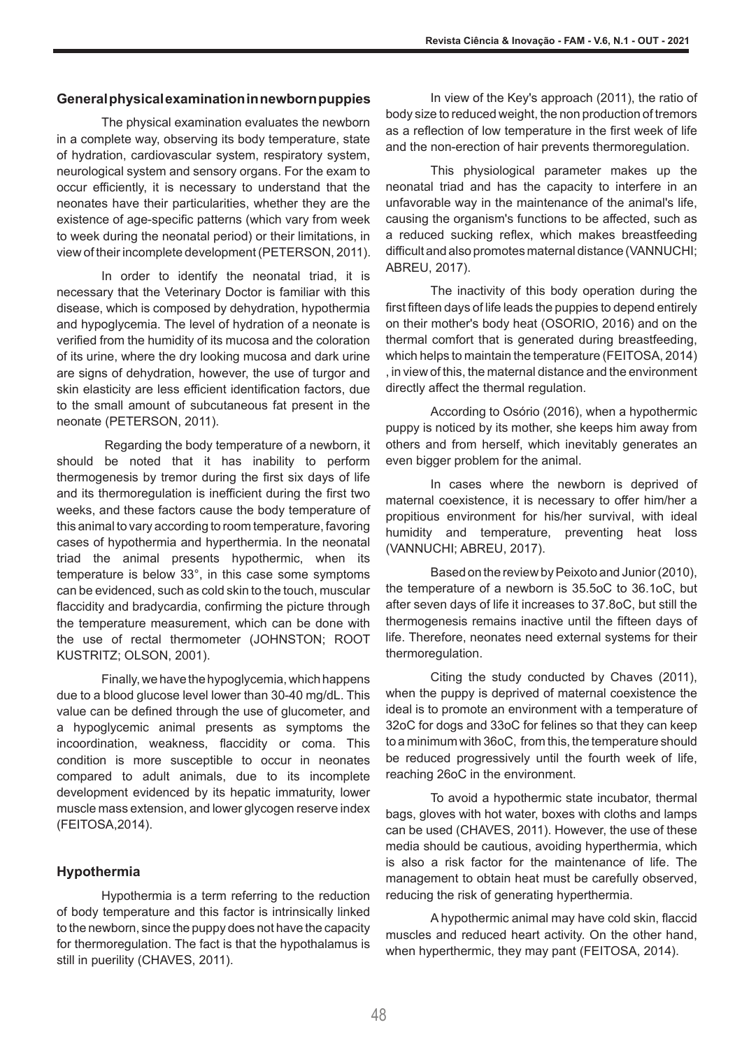### **Generalphysicalexaminationinnewbornpuppies**

The physical examination evaluates the newborn in a complete way, observing its body temperature, state of hydration, cardiovascular system, respiratory system, neurological system and sensory organs. For the exam to occur efficiently, it is necessary to understand that the neonates have their particularities, whether they are the existence of age-specific patterns (which vary from week to week during the neonatal period) or their limitations, in view of their incomplete development (PETERSON, 2011).

In order to identify the neonatal triad, it is necessary that the Veterinary Doctor is familiar with this disease, which is composed by dehydration, hypothermia and hypoglycemia. The level of hydration of a neonate is verified from the humidity of its mucosa and the coloration of its urine, where the dry looking mucosa and dark urine are signs of dehydration, however, the use of turgor and skin elasticity are less efficient identification factors, due to the small amount of subcutaneous fat present in the neonate (PETERSON, 2011).

Regarding the body temperature of a newborn, it should be noted that it has inability to perform thermogenesis by tremor during the first six days of life and its thermoregulation is inefficient during the first two weeks, and these factors cause the body temperature of this animal to vary according to room temperature, favoring cases of hypothermia and hyperthermia. In the neonatal triad the animal presents hypothermic, when its temperature is below 33°, in this case some symptoms can be evidenced, such as cold skin to the touch, muscular flaccidity and bradycardia, confirming the picture through the temperature measurement, which can be done with the use of rectal thermometer (JOHNSTON; ROOT KUSTRITZ; OLSON, 2001).

Finally, we have the hypoglycemia, which happens due to a blood glucose level lower than 30-40 mg/dL. This value can be defined through the use of glucometer, and a hypoglycemic animal presents as symptoms the incoordination, weakness, flaccidity or coma. This condition is more susceptible to occur in neonates compared to adult animals, due to its incomplete development evidenced by its hepatic immaturity, lower muscle mass extension, and lower glycogen reserve index (FEITOSA,2014).

### **Hypothermia**

Hypothermia is a term referring to the reduction of body temperature and this factor is intrinsically linked to the newborn, since the puppy does not have the capacity for thermoregulation. The fact is that the hypothalamus is still in puerility (CHAVES, 2011).

In view of the Key's approach (2011), the ratio of body size to reduced weight, the non production of tremors as a reflection of low temperature in the first week of life and the non-erection of hair prevents thermoregulation.

This physiological parameter makes up the neonatal triad and has the capacity to interfere in an unfavorable way in the maintenance of the animal's life, causing the organism's functions to be affected, such as a reduced sucking reflex, which makes breastfeeding difficult and also promotes maternal distance (VANNUCHI; ABREU, 2017).

The inactivity of this body operation during the first fifteen days of life leads the puppies to depend entirely on their mother's body heat (OSORIO, 2016) and on the thermal comfort that is generated during breastfeeding, which helps to maintain the temperature (FEITOSA, 2014) , in view of this, the maternal distance and the environment directly affect the thermal regulation.

According to Osório (2016), when a hypothermic puppy is noticed by its mother, she keeps him away from others and from herself, which inevitably generates an even bigger problem for the animal.

In cases where the newborn is deprived of maternal coexistence, it is necessary to offer him/her a propitious environment for his/her survival, with ideal humidity and temperature, preventing heat loss (VANNUCHI; ABREU, 2017).

Based on the review by Peixoto and Junior (2010), the temperature of a newborn is 35.5oC to 36.1oC, but after seven days of life it increases to 37.8oC, but still the thermogenesis remains inactive until the fifteen days of life. Therefore, neonates need external systems for their thermoregulation.

Citing the study conducted by Chaves (2011), when the puppy is deprived of maternal coexistence the ideal is to promote an environment with a temperature of 32oC for dogs and 33oC for felines so that they can keep to a minimum with 36oC, from this, the temperature should be reduced progressively until the fourth week of life, reaching 26oC in the environment.

To avoid a hypothermic state incubator, thermal bags, gloves with hot water, boxes with cloths and lamps can be used (CHAVES, 2011). However, the use of these media should be cautious, avoiding hyperthermia, which is also a risk factor for the maintenance of life. The management to obtain heat must be carefully observed, reducing the risk of generating hyperthermia.

A hypothermic animal may have cold skin, flaccid muscles and reduced heart activity. On the other hand, when hyperthermic, they may pant (FEITOSA, 2014).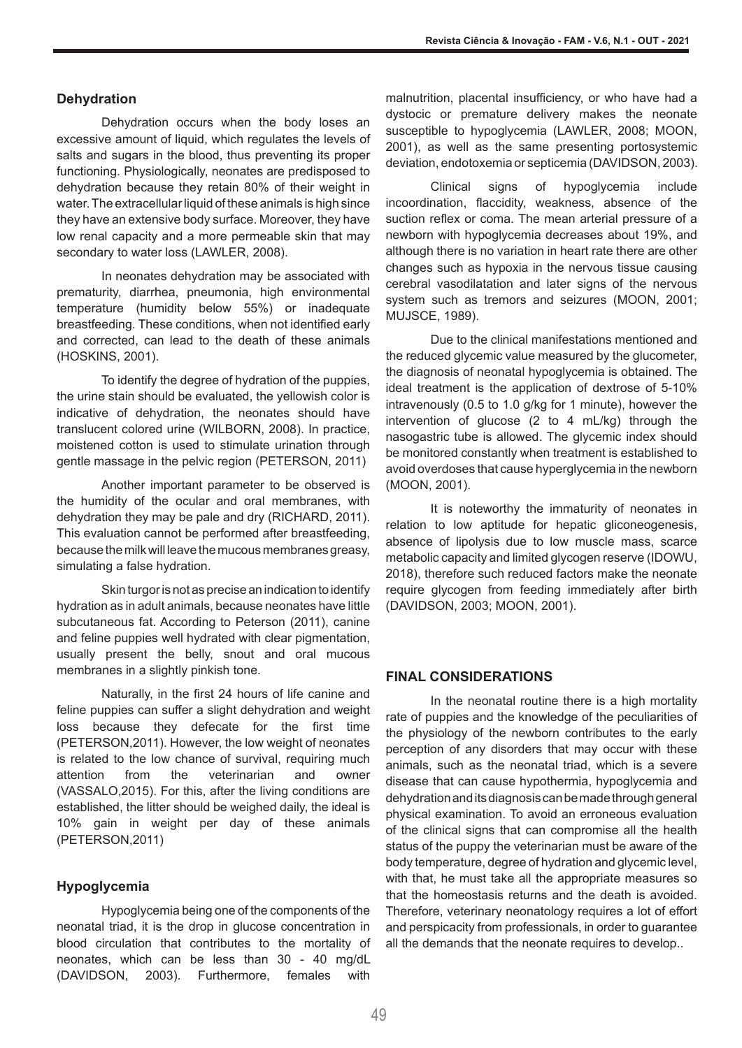#### **Dehydration**

Dehydration occurs when the body loses an excessive amount of liquid, which regulates the levels of salts and sugars in the blood, thus preventing its proper functioning. Physiologically, neonates are predisposed to dehydration because they retain 80% of their weight in water. The extracellular liquid of these animals is high since they have an extensive body surface. Moreover, they have low renal capacity and a more permeable skin that may secondary to water loss (LAWLER, 2008).

In neonates dehydration may be associated with prematurity, diarrhea, pneumonia, high environmental temperature (humidity below 55%) or inadequate breastfeeding. These conditions, when not identified early and corrected, can lead to the death of these animals (HOSKINS, 2001).

To identify the degree of hydration of the puppies, the urine stain should be evaluated, the yellowish color is indicative of dehydration, the neonates should have translucent colored urine (WILBORN, 2008). In practice, moistened cotton is used to stimulate urination through gentle massage in the pelvic region (PETERSON, 2011)

Another important parameter to be observed is the humidity of the ocular and oral membranes, with dehydration they may be pale and dry (RICHARD, 2011). This evaluation cannot be performed after breastfeeding, because the milk will leave the mucous membranes greasy, simulating a false hydration.

Skin turgor is not as precise an indication to identify hydration as in adult animals, because neonates have little subcutaneous fat. According to Peterson (2011), canine and feline puppies well hydrated with clear pigmentation, usually present the belly, snout and oral mucous membranes in a slightly pinkish tone.

Naturally, in the first 24 hours of life canine and feline puppies can suffer a slight dehydration and weight loss because they defecate for the first time (PETERSON,2011). However, the low weight of neonates is related to the low chance of survival, requiring much attention from the veterinarian and owner (VASSALO,2015). For this, after the living conditions are established, the litter should be weighed daily, the ideal is 10% gain in weight per day of these animals (PETERSON,2011)

### **Hypoglycemia**

Hypoglycemia being one of the components of the neonatal triad, it is the drop in glucose concentration in blood circulation that contributes to the mortality of neonates, which can be less than 30 - 40 mg/dL (DAVIDSON, 2003). Furthermore, females with malnutrition, placental insufficiency, or who have had a dystocic or premature delivery makes the neonate susceptible to hypoglycemia (LAWLER, 2008; MOON, 2001), as well as the same presenting portosystemic deviation, endotoxemia or septicemia (DAVIDSON, 2003).

Clinical signs of hypoglycemia include incoordination, flaccidity, weakness, absence of the suction reflex or coma. The mean arterial pressure of a newborn with hypoglycemia decreases about 19%, and although there is no variation in heart rate there are other changes such as hypoxia in the nervous tissue causing cerebral vasodilatation and later signs of the nervous system such as tremors and seizures (MOON, 2001; MUJSCE, 1989).

Due to the clinical manifestations mentioned and the reduced glycemic value measured by the glucometer, the diagnosis of neonatal hypoglycemia is obtained. The ideal treatment is the application of dextrose of 5-10% intravenously (0.5 to 1.0 g/kg for 1 minute), however the intervention of glucose (2 to 4 mL/kg) through the nasogastric tube is allowed. The glycemic index should be monitored constantly when treatment is established to avoid overdoses that cause hyperglycemia in the newborn (MOON, 2001).

It is noteworthy the immaturity of neonates in relation to low aptitude for hepatic gliconeogenesis, absence of lipolysis due to low muscle mass, scarce metabolic capacity and limited glycogen reserve (IDOWU, 2018), therefore such reduced factors make the neonate require glycogen from feeding immediately after birth (DAVIDSON, 2003; MOON, 2001).

## **FINAL CONSIDERATIONS**

In the neonatal routine there is a high mortality rate of puppies and the knowledge of the peculiarities of the physiology of the newborn contributes to the early perception of any disorders that may occur with these animals, such as the neonatal triad, which is a severe disease that can cause hypothermia, hypoglycemia and dehydration and its diagnosis can bemadethrough general physical examination. To avoid an erroneous evaluation of the clinical signs that can compromise all the health status of the puppy the veterinarian must be aware of the body temperature, degree of hydration and glycemic level, with that, he must take all the appropriate measures so that the homeostasis returns and the death is avoided. Therefore, veterinary neonatology requires a lot of effort and perspicacity from professionals, in order to guarantee all the demands that the neonate requires to develop..